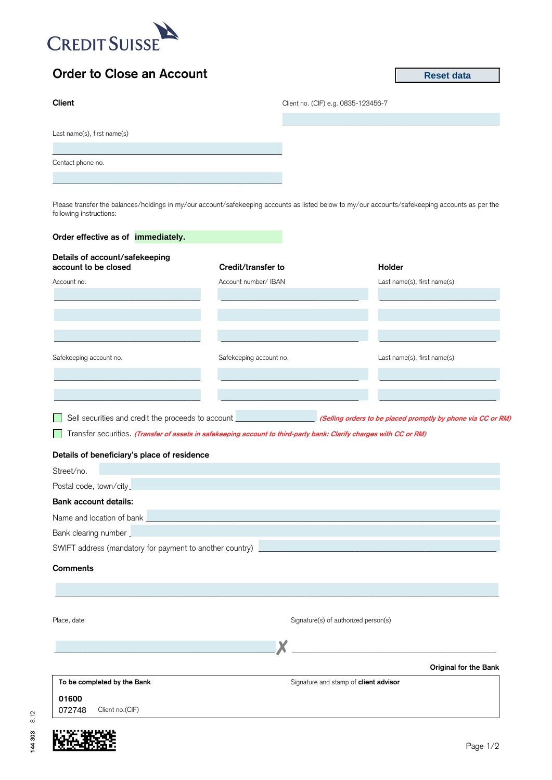

## **Order to Close an Account**

**Reset data**

| Client                      | Client no. (CIF) e.g. 0835-123456-7 |  |  |
|-----------------------------|-------------------------------------|--|--|
| Last name(s), first name(s) |                                     |  |  |
| Contact phone no.           |                                     |  |  |
|                             |                                     |  |  |

Please transfer the balances/holdings in my/our account/safekeeping accounts as listed below to my/our accounts/safekeeping accounts as per the following instructions:

| Order effective as of immediately.                                                                                  |                         |                                                              |
|---------------------------------------------------------------------------------------------------------------------|-------------------------|--------------------------------------------------------------|
| Details of account/safekeeping<br>account to be closed                                                              | Credit/transfer to      | Holder                                                       |
| Account no.                                                                                                         | Account number/ IBAN    | Last name(s), first name(s)                                  |
|                                                                                                                     |                         |                                                              |
|                                                                                                                     |                         |                                                              |
|                                                                                                                     |                         |                                                              |
|                                                                                                                     |                         |                                                              |
| Safekeeping account no.                                                                                             | Safekeeping account no. | Last name(s), first name(s)                                  |
|                                                                                                                     |                         |                                                              |
|                                                                                                                     |                         |                                                              |
|                                                                                                                     |                         |                                                              |
| Sell securities and credit the proceeds to account <b>contract and credit</b>                                       |                         | (Selling orders to be placed promptly by phone via CC or RM) |
| Transfer securities. (Transfer of assets in safekeeping account to third-party bank: Clarify charges with CC or RM) |                         |                                                              |
| Details of beneficiary's place of residence                                                                         |                         |                                                              |
| Street/no.                                                                                                          |                         |                                                              |
| Postal code, town/city                                                                                              |                         |                                                              |
| <b>Bank account details:</b>                                                                                        |                         |                                                              |
| Name and location of bank                                                                                           |                         |                                                              |
| Bank clearing number                                                                                                |                         |                                                              |
| SWIFT address (mandatory for payment to another country)                                                            |                         |                                                              |
| <b>Comments</b>                                                                                                     |                         |                                                              |
|                                                                                                                     |                         |                                                              |
|                                                                                                                     |                         |                                                              |
|                                                                                                                     |                         |                                                              |
| Place, date                                                                                                         |                         | Signature(s) of authorized person(s)                         |
|                                                                                                                     | v                       |                                                              |
|                                                                                                                     |                         |                                                              |
|                                                                                                                     |                         | Original for the Bank                                        |
| To be completed by the Bank                                                                                         |                         | Signature and stamp of client advisor                        |
| 01600                                                                                                               |                         |                                                              |
| 072748<br>Client no.(CIF)                                                                                           |                         |                                                              |



**144 303** 8.12

144 303 8.12

Page 1/2